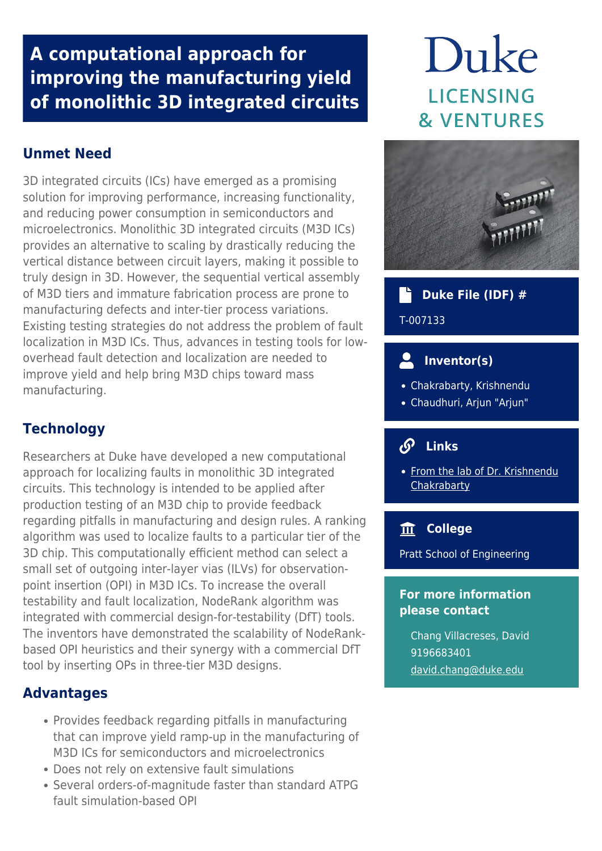# **A computational approach for improving the manufacturing yield of monolithic 3D integrated circuits**

# **Unmet Need**

3D integrated circuits (ICs) have emerged as a promising solution for improving performance, increasing functionality, and reducing power consumption in semiconductors and microelectronics. Monolithic 3D integrated circuits (M3D ICs) provides an alternative to scaling by drastically reducing the vertical distance between circuit layers, making it possible to truly design in 3D. However, the sequential vertical assembly of M3D tiers and immature fabrication process are prone to manufacturing defects and inter-tier process variations. Existing testing strategies do not address the problem of fault localization in M3D ICs. Thus, advances in testing tools for lowoverhead fault detection and localization are needed to improve yield and help bring M3D chips toward mass manufacturing.

# **Technology**

Researchers at Duke have developed a new computational approach for localizing faults in monolithic 3D integrated circuits. This technology is intended to be applied after production testing of an M3D chip to provide feedback regarding pitfalls in manufacturing and design rules. A ranking algorithm was used to localize faults to a particular tier of the 3D chip. This computationally efficient method can select a small set of outgoing inter-layer vias (ILVs) for observationpoint insertion (OPI) in M3D ICs. To increase the overall testability and fault localization, NodeRank algorithm was integrated with commercial design-for-testability (DfT) tools. The inventors have demonstrated the scalability of NodeRankbased OPI heuristics and their synergy with a commercial DfT tool by inserting OPs in three-tier M3D designs.

### **Advantages**

- Provides feedback regarding pitfalls in manufacturing that can improve yield ramp-up in the manufacturing of M3D ICs for semiconductors and microelectronics
- Does not rely on extensive fault simulations
- Several orders-of-magnitude faster than standard ATPG fault simulation-based OPI

# Duke **LICENSING & VENTURES**



## **Duke File (IDF) #**

T-007133

# **Inventor(s)**

- Chakrabarty, Krishnendu
- Chaudhuri, Arjun "Arjun"

#### $\mathcal{S}$  **Links**

• [From the lab of Dr. Krishnendu](http://people.ee.duke.edu/~krish/) **[Chakrabarty](http://people.ee.duke.edu/~krish/)** 

#### **College**

Pratt School of Engineering

#### **For more information please contact**

Chang Villacreses, David 9196683401 [david.chang@duke.edu](mailto:david.chang@duke.edu)